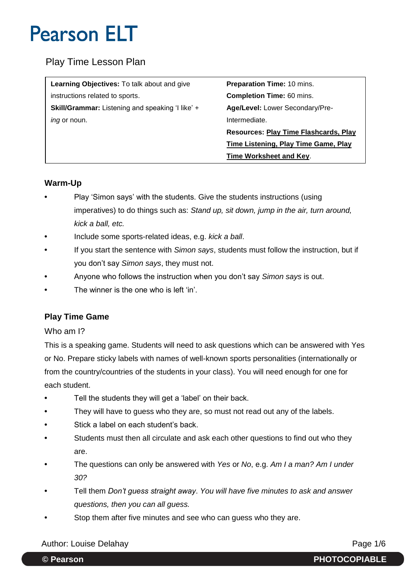### Play Time Lesson Plan

| <b>Learning Objectives:</b> To talk about and give | <b>Preparation Time: 10 mins.</b>           |
|----------------------------------------------------|---------------------------------------------|
| instructions related to sports.                    | <b>Completion Time: 60 mins.</b>            |
| Skill/Grammar: Listening and speaking 'I like' +   | <b>Age/Level:</b> Lower Secondary/Pre-      |
| <i>ing</i> or noun.                                | Intermediate.                               |
|                                                    | Resources: Play Time Flashcards, Play       |
|                                                    | <b>Time Listening, Play Time Game, Play</b> |
|                                                    | <b>Time Worksheet and Key.</b>              |

### **Warm-Up**

- **•** Play 'Simon says' with the students. Give the students instructions (using imperatives) to do things such as: *Stand up, sit down, jump in the air, turn around, kick a ball, etc.*
- **•** Include some sports-related ideas, e.g. *kick a ball*.
- **•** If you start the sentence with *Simon says*, students must follow the instruction, but if you don't say *Simon says*, they must not.
- **•** Anyone who follows the instruction when you don't say *Simon says* is out.
- **•** The winner is the one who is left 'in'.

### **Play Time Game**

#### Who am I?

This is a speaking game. Students will need to ask questions which can be answered with Yes or No. Prepare sticky labels with names of well-known sports personalities (internationally or from the country/countries of the students in your class). You will need enough for one for each student.

- **•** Tell the students they will get a 'label' on their back.
- **•** They will have to guess who they are, so must not read out any of the labels.
- **•** Stick a label on each student's back.
- **•** Students must then all circulate and ask each other questions to find out who they are.
- **•** The questions can only be answered with *Yes* or *No*, e.g. *Am I a man? Am I under 30?*
- **•** Tell them *Don't guess straight away*. *You will have five minutes to ask and answer questions, then you can all guess.*
- **•** Stop them after five minutes and see who can guess who they are.

### Author: Louise Delahay **Page 1/6**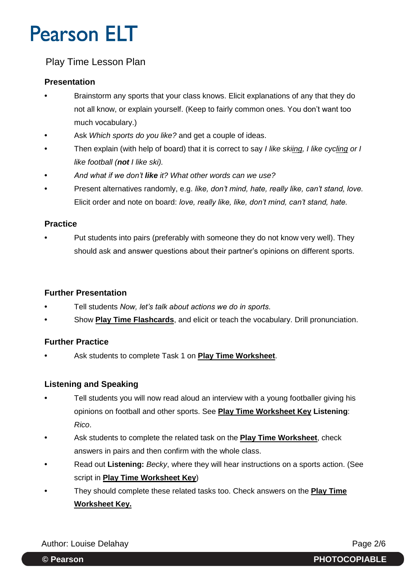### Play Time Lesson Plan

### **Presentation**

- **•** Brainstorm any sports that your class knows. Elicit explanations of any that they do not all know, or explain yourself. (Keep to fairly common ones. You don't want too much vocabulary.)
- **•** Ask *Which sports do you like?* and get a couple of ideas.
- **•** Then explain (with help of board) that it is correct to say *I like skiing, I like cycling or I like football (not I like ski).*
- **•** *And what if we don't like it? What other words can we use?*
- **•** Present alternatives randomly, e.g. *like, don't mind, hate, really like, can't stand, love.* Elicit order and note on board: *love, really like, like, don't mind, can't stand, hate.*

### **Practice**

**•** Put students into pairs (preferably with someone they do not know very well). They should ask and answer questions about their partner's opinions on different sports.

### **Further Presentation**

- **•** Tell students *Now, let's talk about actions we do in sports.*
- **•** Show **Play Time Flashcards**, and elicit or teach the vocabulary. Drill pronunciation.

### **Further Practice**

**•** Ask students to complete Task 1 on **Play Time Worksheet**.

### **Listening and Speaking**

- **•** Tell students you will now read aloud an interview with a young footballer giving his opinions on football and other sports. See **Play Time Worksheet Key Listening**: *Rico*.
- **•** Ask students to complete the related task on the **Play Time Worksheet**, check answers in pairs and then confirm with the whole class.
- **•** Read out **Listening:** *Becky*, where they will hear instructions on a sports action. (See script in **Play Time Worksheet Key**)
- **•** They should complete these related tasks too. Check answers on the **Play Time Worksheet Key.**

Author: Louise Delahay **Page 2/6**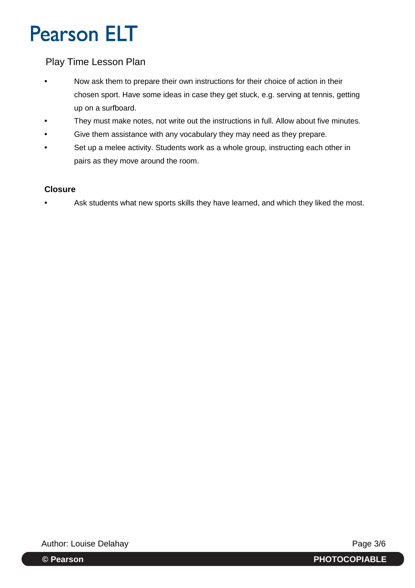### Play Time Lesson Plan

- **•** Now ask them to prepare their own instructions for their choice of action in their chosen sport. Have some ideas in case they get stuck, e.g. serving at tennis, getting up on a surfboard.
- **•** They must make notes, not write out the instructions in full. Allow about five minutes.
- **•** Give them assistance with any vocabulary they may need as they prepare.
- **•** Set up a melee activity. Students work as a whole group, instructing each other in pairs as they move around the room.

### **Closure**

**•** Ask students what new sports skills they have learned, and which they liked the most.

Author: Louise Delahay **Page 3/6** 

**© Pearson PHOTOCOPIABLE**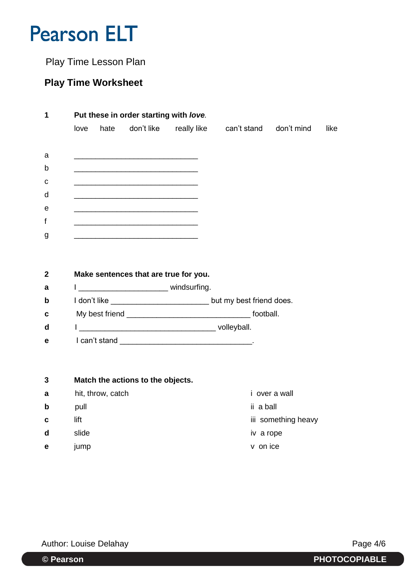Play Time Lesson Plan

## **Play Time Worksheet**

| 1           | Put these in order starting with love. |      |            |             |             |            |      |  |  |
|-------------|----------------------------------------|------|------------|-------------|-------------|------------|------|--|--|
|             | love                                   | hate | don't like | really like | can't stand | don't mind | like |  |  |
|             |                                        |      |            |             |             |            |      |  |  |
| a           |                                        |      |            |             |             |            |      |  |  |
| $\mathsf b$ |                                        |      |            |             |             |            |      |  |  |
| $\mathbf c$ |                                        |      |            |             |             |            |      |  |  |
| d           |                                        |      |            |             |             |            |      |  |  |
| e           |                                        |      |            |             |             |            |      |  |  |
| f           |                                        |      |            |             |             |            |      |  |  |
| g           |                                        |      |            |             |             |            |      |  |  |

## **2 Make sentences that are true for you. a** 1 \_\_\_\_\_\_\_\_\_\_\_\_\_\_\_\_\_\_\_\_\_\_\_\_\_ windsurfing. **b** I don't like \_\_\_\_\_\_\_\_\_\_\_\_\_\_\_\_\_\_\_\_\_\_\_\_\_\_\_\_\_\_\_\_\_\_but my best friend does. **c** My best friend \_\_\_\_\_\_\_\_\_\_\_\_\_\_\_\_\_\_\_\_\_\_\_\_\_\_\_\_\_ football. **d** I \_\_\_\_\_\_\_\_\_\_\_\_\_\_\_\_\_\_\_\_\_\_\_\_\_\_\_\_\_\_\_\_ volleyball. **e** I can't stand **example 2**

## **3 Match the actions to the objects. a** hit, throw, catch **i** over a wall **b** pull ii a ball **c** lift iii something heavy

**d** slide iv a rope **e** jump v on ice

Author: Louise Delahay **Page 4/6**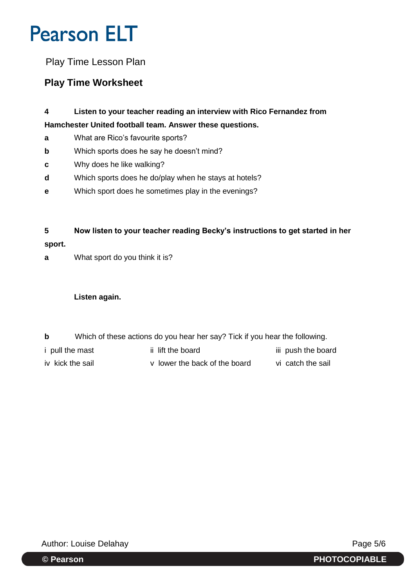Play Time Lesson Plan

## **Play Time Worksheet**

- **4 Listen to your teacher reading an interview with Rico Fernandez from Hamchester United football team. Answer these questions.**
- **a** What are Rico's favourite sports?
- **b** Which sports does he say he doesn't mind?
- **c** Why does he like walking?
- **d** Which sports does he do/play when he stays at hotels?
- **e** Which sport does he sometimes play in the evenings?

**5 Now listen to your teacher reading Becky's instructions to get started in her sport.**

**a** What sport do you think it is?

### **Listen again.**

- **b** Which of these actions do you hear her say? Tick if you hear the following.
- i pull the mast iii lift the board iii push the board
- iv kick the sail v lower the back of the board vi catch the sail

Author: Louise Delahay **Page 5/6** 

**© Pearson PHOTOCOPIABLE**